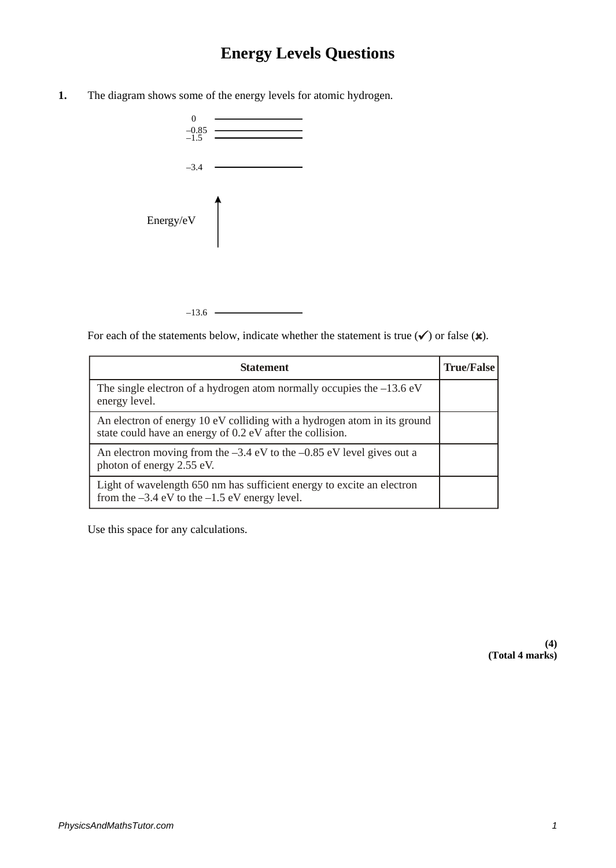## **Energy Levels Questions**

**1.** The diagram shows some of the energy levels for atomic hydrogen.



For each of the statements below, indicate whether the statement is true  $(\checkmark)$  or false  $(\hat{\mathbf{x}})$ .

| <b>Statement</b>                                                                                                                      | <b>True/False</b> |
|---------------------------------------------------------------------------------------------------------------------------------------|-------------------|
| The single electron of a hydrogen atom normally occupies the $-13.6$ eV<br>energy level.                                              |                   |
| An electron of energy 10 eV colliding with a hydrogen atom in its ground<br>state could have an energy of 0.2 eV after the collision. |                   |
| An electron moving from the $-3.4$ eV to the $-0.85$ eV level gives out a<br>photon of energy 2.55 eV.                                |                   |
| Light of wavelength 650 nm has sufficient energy to excite an electron<br>from the $-3.4$ eV to the $-1.5$ eV energy level.           |                   |

Use this space for any calculations.

**(4) (Total 4 marks)**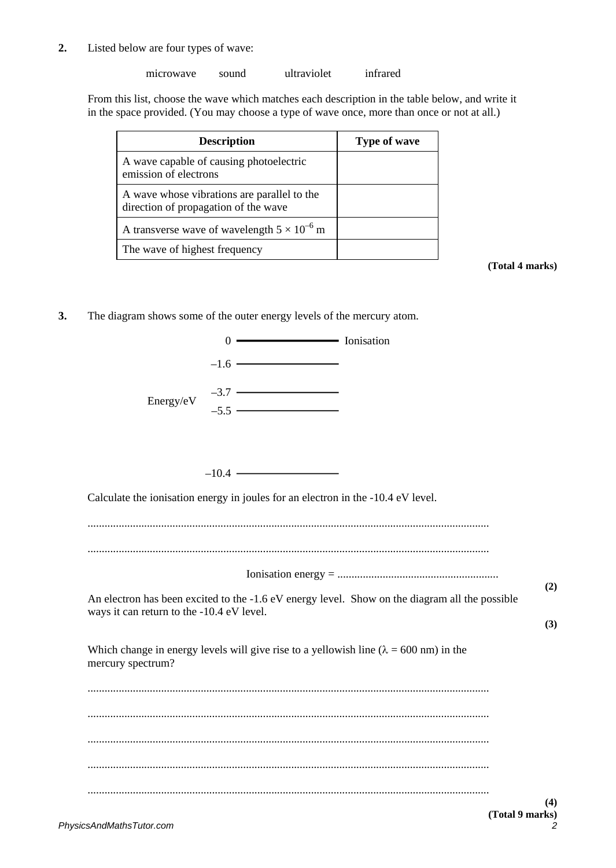**2.** Listed below are four types of wave:

microwave sound ultraviolet infrared

From this list, choose the wave which matches each description in the table below, and write it in the space provided. (You may choose a type of wave once, more than once or not at all.)

| <b>Description</b>                                                                  | Type of wave |
|-------------------------------------------------------------------------------------|--------------|
| A wave capable of causing photoelectric<br>emission of electrons                    |              |
| A wave whose vibrations are parallel to the<br>direction of propagation of the wave |              |
| A transverse wave of wavelength $5 \times 10^{-6}$ m                                |              |
| The wave of highest frequency                                                       |              |

**(Total 4 marks)**

**3.** The diagram shows some of the outer energy levels of the mercury atom.

| $0 \longrightarrow$ Ionisation                                                                                                              |     |
|---------------------------------------------------------------------------------------------------------------------------------------------|-----|
| $-1.6$ $\longrightarrow$                                                                                                                    |     |
| $-3.7$ - $-5.5$ - $-$<br>Energy/eV                                                                                                          |     |
| $-10.4$ $-$                                                                                                                                 |     |
| Calculate the ionisation energy in joules for an electron in the -10.4 eV level.                                                            |     |
|                                                                                                                                             |     |
|                                                                                                                                             |     |
|                                                                                                                                             | (2) |
| An electron has been excited to the -1.6 eV energy level. Show on the diagram all the possible<br>ways it can return to the -10.4 eV level. |     |
|                                                                                                                                             | (3) |
| Which change in energy levels will give rise to a yellowish line ( $\lambda = 600$ nm) in the<br>mercury spectrum?                          |     |
|                                                                                                                                             |     |
|                                                                                                                                             |     |
|                                                                                                                                             |     |
|                                                                                                                                             |     |
|                                                                                                                                             | (4) |